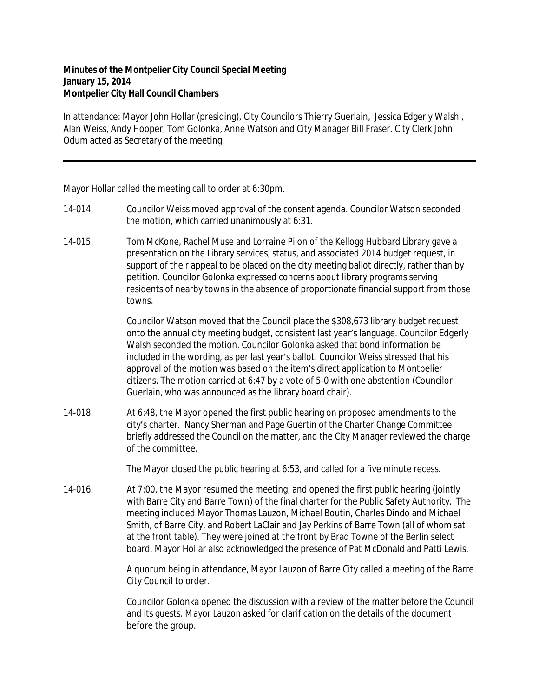## **Minutes of the Montpelier City Council Special Meeting January 15, 2014 Montpelier City Hall Council Chambers**

In attendance: Mayor John Hollar (presiding), City Councilors Thierry Guerlain, Jessica Edgerly Walsh , Alan Weiss, Andy Hooper, Tom Golonka, Anne Watson and City Manager Bill Fraser. City Clerk John Odum acted as Secretary of the meeting.

Mayor Hollar called the meeting call to order at 6:30pm.

- 14-014. Councilor Weiss moved approval of the consent agenda. Councilor Watson seconded the motion, which carried unanimously at 6:31.
- 14-015. Tom McKone, Rachel Muse and Lorraine Pilon of the Kellogg Hubbard Library gave a presentation on the Library services, status, and associated 2014 budget request, in support of their appeal to be placed on the city meeting ballot directly, rather than by petition. Councilor Golonka expressed concerns about library programs serving residents of nearby towns in the absence of proportionate financial support from those towns.

Councilor Watson moved that the Council place the \$308,673 library budget request onto the annual city meeting budget, consistent last year's language. Councilor Edgerly Walsh seconded the motion. Councilor Golonka asked that bond information be included in the wording, as per last year's ballot. Councilor Weiss stressed that his approval of the motion was based on the item's direct application to Montpelier citizens. The motion carried at 6:47 by a vote of 5-0 with one abstention (Councilor Guerlain, who was announced as the library board chair).

14-018. At 6:48, the Mayor opened the first public hearing on proposed amendments to the city's charter. Nancy Sherman and Page Guertin of the Charter Change Committee briefly addressed the Council on the matter, and the City Manager reviewed the charge of the committee.

The Mayor closed the public hearing at 6:53, and called for a five minute recess.

14-016. At 7:00, the Mayor resumed the meeting, and opened the first public hearing (jointly with Barre City and Barre Town) of the final charter for the Public Safety Authority. The meeting included Mayor Thomas Lauzon, Michael Boutin, Charles Dindo and Michael Smith, of Barre City, and Robert LaClair and Jay Perkins of Barre Town (all of whom sat at the front table). They were joined at the front by Brad Towne of the Berlin select board. Mayor Hollar also acknowledged the presence of Pat McDonald and Patti Lewis.

> A quorum being in attendance, Mayor Lauzon of Barre City called a meeting of the Barre City Council to order.

> Councilor Golonka opened the discussion with a review of the matter before the Council and its guests. Mayor Lauzon asked for clarification on the details of the document before the group.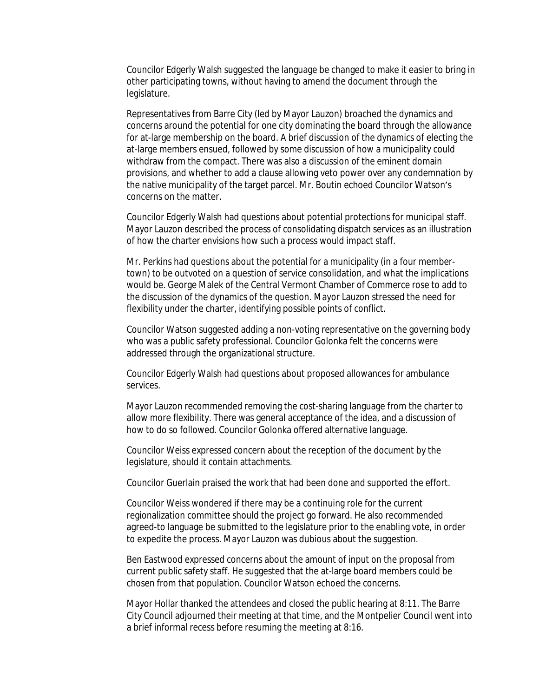Councilor Edgerly Walsh suggested the language be changed to make it easier to bring in other participating towns, without having to amend the document through the legislature.

Representatives from Barre City (led by Mayor Lauzon) broached the dynamics and concerns around the potential for one city dominating the board through the allowance for at-large membership on the board. A brief discussion of the dynamics of electing the at-large members ensued, followed by some discussion of how a municipality could withdraw from the compact. There was also a discussion of the eminent domain provisions, and whether to add a clause allowing veto power over any condemnation by the native municipality of the target parcel. Mr. Boutin echoed Councilor Watson's concerns on the matter.

Councilor Edgerly Walsh had questions about potential protections for municipal staff. Mayor Lauzon described the process of consolidating dispatch services as an illustration of how the charter envisions how such a process would impact staff.

Mr. Perkins had questions about the potential for a municipality (in a four membertown) to be outvoted on a question of service consolidation, and what the implications would be. George Malek of the Central Vermont Chamber of Commerce rose to add to the discussion of the dynamics of the question. Mayor Lauzon stressed the need for flexibility under the charter, identifying possible points of conflict.

Councilor Watson suggested adding a non-voting representative on the governing body who was a public safety professional. Councilor Golonka felt the concerns were addressed through the organizational structure.

Councilor Edgerly Walsh had questions about proposed allowances for ambulance services.

Mayor Lauzon recommended removing the cost-sharing language from the charter to allow more flexibility. There was general acceptance of the idea, and a discussion of how to do so followed. Councilor Golonka offered alternative language.

Councilor Weiss expressed concern about the reception of the document by the legislature, should it contain attachments.

Councilor Guerlain praised the work that had been done and supported the effort.

Councilor Weiss wondered if there may be a continuing role for the current regionalization committee should the project go forward. He also recommended agreed-to language be submitted to the legislature prior to the enabling vote, in order to expedite the process. Mayor Lauzon was dubious about the suggestion.

Ben Eastwood expressed concerns about the amount of input on the proposal from current public safety staff. He suggested that the at-large board members could be chosen from that population. Councilor Watson echoed the concerns.

Mayor Hollar thanked the attendees and closed the public hearing at 8:11. The Barre City Council adjourned their meeting at that time, and the Montpelier Council went into a brief informal recess before resuming the meeting at 8:16.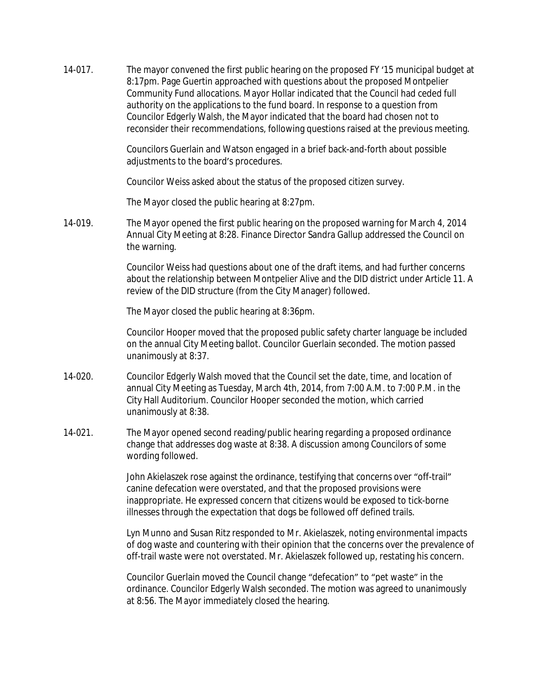14-017. The mayor convened the first public hearing on the proposed FY '15 municipal budget at 8:17pm. Page Guertin approached with questions about the proposed Montpelier Community Fund allocations. Mayor Hollar indicated that the Council had ceded full authority on the applications to the fund board. In response to a question from Councilor Edgerly Walsh, the Mayor indicated that the board had chosen not to reconsider their recommendations, following questions raised at the previous meeting.

> Councilors Guerlain and Watson engaged in a brief back-and-forth about possible adjustments to the board's procedures.

Councilor Weiss asked about the status of the proposed citizen survey.

The Mayor closed the public hearing at 8:27pm.

14-019. The Mayor opened the first public hearing on the proposed warning for March 4, 2014 Annual City Meeting at 8:28. Finance Director Sandra Gallup addressed the Council on the warning.

> Councilor Weiss had questions about one of the draft items, and had further concerns about the relationship between Montpelier Alive and the DID district under Article 11. A review of the DID structure (from the City Manager) followed.

The Mayor closed the public hearing at 8:36pm.

Councilor Hooper moved that the proposed public safety charter language be included on the annual City Meeting ballot. Councilor Guerlain seconded. The motion passed unanimously at 8:37.

- 14-020. Councilor Edgerly Walsh moved that the Council set the date, time, and location of annual City Meeting as Tuesday, March 4th, 2014, from 7:00 A.M. to 7:00 P.M. in the City Hall Auditorium. Councilor Hooper seconded the motion, which carried unanimously at 8:38.
- 14-021. The Mayor opened second reading/public hearing regarding a proposed ordinance change that addresses dog waste at 8:38. A discussion among Councilors of some wording followed.

John Akielaszek rose against the ordinance, testifying that concerns over "off-trail" canine defecation were overstated, and that the proposed provisions were inappropriate. He expressed concern that citizens would be exposed to tick-borne illnesses through the expectation that dogs be followed off defined trails.

Lyn Munno and Susan Ritz responded to Mr. Akielaszek, noting environmental impacts of dog waste and countering with their opinion that the concerns over the prevalence of off-trail waste were not overstated. Mr. Akielaszek followed up, restating his concern.

Councilor Guerlain moved the Council change "defecation" to "pet waste" in the ordinance. Councilor Edgerly Walsh seconded. The motion was agreed to unanimously at 8:56. The Mayor immediately closed the hearing.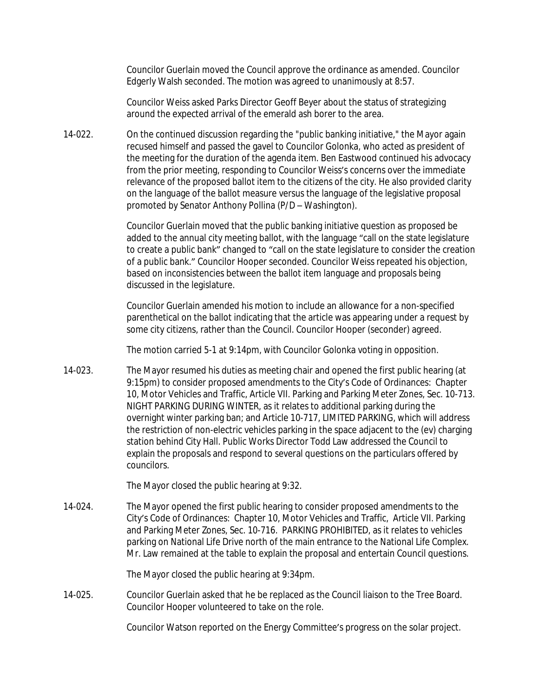Councilor Guerlain moved the Council approve the ordinance as amended. Councilor Edgerly Walsh seconded. The motion was agreed to unanimously at 8:57.

Councilor Weiss asked Parks Director Geoff Beyer about the status of strategizing around the expected arrival of the emerald ash borer to the area.

14-022. On the continued discussion regarding the "public banking initiative," the Mayor again recused himself and passed the gavel to Councilor Golonka, who acted as president of the meeting for the duration of the agenda item. Ben Eastwood continued his advocacy from the prior meeting, responding to Councilor Weiss's concerns over the immediate relevance of the proposed ballot item to the citizens of the city. He also provided clarity on the language of the ballot measure versus the language of the legislative proposal promoted by Senator Anthony Pollina (P/D – Washington).

> Councilor Guerlain moved that the public banking initiative question as proposed be added to the annual city meeting ballot, with the language "call on the state legislature to create a public bank" changed to "call on the state legislature to consider the creation of a public bank." Councilor Hooper seconded. Councilor Weiss repeated his objection, based on inconsistencies between the ballot item language and proposals being discussed in the legislature.

Councilor Guerlain amended his motion to include an allowance for a non-specified parenthetical on the ballot indicating that the article was appearing under a request by some city citizens, rather than the Council. Councilor Hooper (seconder) agreed.

The motion carried 5-1 at 9:14pm, with Councilor Golonka voting in opposition.

14-023. The Mayor resumed his duties as meeting chair and opened the first public hearing (at 9:15pm) to consider proposed amendments to the City's Code of Ordinances: Chapter 10, Motor Vehicles and Traffic, Article VII. Parking and Parking Meter Zones, Sec. 10-713. NIGHT PARKING DURING WINTER, as it relates to additional parking during the overnight winter parking ban; and Article 10-717, LIMITED PARKING, which will address the restriction of non-electric vehicles parking in the space adjacent to the (ev) charging station behind City Hall. Public Works Director Todd Law addressed the Council to explain the proposals and respond to several questions on the particulars offered by councilors.

The Mayor closed the public hearing at 9:32.

14-024. The Mayor opened the first public hearing to consider proposed amendments to the City's Code of Ordinances: Chapter 10, Motor Vehicles and Traffic, Article VII. Parking and Parking Meter Zones, Sec. 10-716. PARKING PROHIBITED, as it relates to vehicles parking on National Life Drive north of the main entrance to the National Life Complex. Mr. Law remained at the table to explain the proposal and entertain Council questions.

The Mayor closed the public hearing at 9:34pm.

14-025. Councilor Guerlain asked that he be replaced as the Council liaison to the Tree Board. Councilor Hooper volunteered to take on the role.

Councilor Watson reported on the Energy Committee's progress on the solar project.